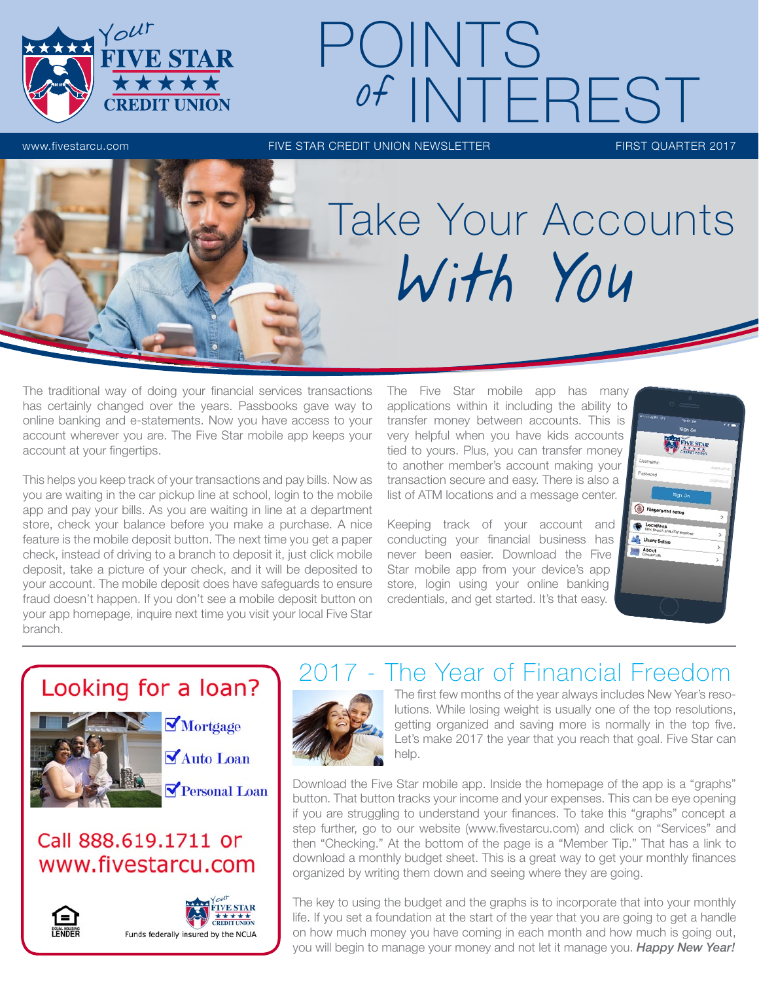

# www.fivestarcu.com FIVE STAR CREDIT UNION NEWSLETTER FIRST QUARTER 2017 POINTS of INTEREST

# Take Your Accounts With You

The traditional way of doing your financial services transactions has certainly changed over the years. Passbooks gave way to online banking and e-statements. Now you have access to your account wherever you are. The Five Star mobile app keeps your account at your fingertips.

This helps you keep track of your transactions and pay bills. Now as you are waiting in the car pickup line at school, login to the mobile app and pay your bills. As you are waiting in line at a department store, check your balance before you make a purchase. A nice feature is the mobile deposit button. The next time you get a paper check, instead of driving to a branch to deposit it, just click mobile deposit, take a picture of your check, and it will be deposited to your account. The mobile deposit does have safeguards to ensure fraud doesn't happen. If you don't see a mobile deposit button on your app homepage, inquire next time you visit your local Five Star branch.

The Five Star mobile app has many applications within it including the ability to transfer money between accounts. This is very helpful when you have kids accounts tied to yours. Plus, you can transfer money to another member's account making your transaction secure and easy. There is also a list of ATM locations and a message center.

Keeping track of your account and conducting your financial business has never been easier. Download the Five Star mobile app from your device's app store, login using your online banking credentials, and get started. It's that easy.



## Looking for a loan?



## Call 888.619.1711 or www.fivestarcu.com





# The Year of Financial Freedom



The first few months of the year always includes New Year's resolutions. While losing weight is usually one of the top resolutions, getting organized and saving more is normally in the top five. Let's make 2017 the year that you reach that goal. Five Star can help.

Download the Five Star mobile app. Inside the homepage of the app is a "graphs" button. That button tracks your income and your expenses. This can be eye opening if you are struggling to understand your finances. To take this "graphs" concept a step further, go to our website (www.fivestarcu.com) and click on "Services" and then "Checking." At the bottom of the page is a "Member Tip." That has a link to download a monthly budget sheet. This is a great way to get your monthly finances organized by writing them down and seeing where they are going.

The key to using the budget and the graphs is to incorporate that into your monthly life. If you set a foundation at the start of the year that you are going to get a handle on how much money you have coming in each month and how much is going out, you will begin to manage your money and not let it manage you. *Happy New Year!*